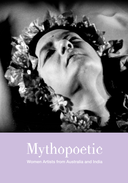

# Mythopoetic

Women Artists from Australia and India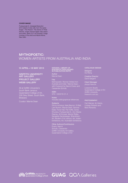### COVER IMAGE

Pushpamala N. *Indrajaala/Seduction* 2012 (detail of video still), from the series *Avega—The Passion: The Drama of Three Women*, single-channel digital video (blackand-white, silent) 4:27 min (looped). Image courtesy of the artist and Nature Morte, New Delhi.

# MYTHOPOETIC: WOMEN ARTISTS FROM AUSTRALIA AND INDIA

# 10 April—18 May 2013

# Griffith University Art Gallery PROJECT GALLERy WEBB GALLERY

Queensland College of Art, 226 Grey Street, South Bank,

# National Library of Australia Cataloguing-in-Publication entry

Author Marnie Dean

### Title

Mythopoetic: Women Artists from Australia and India / Marnie Dean; Cassandra Schultz

ISBN 978-1-922216-01-4

Notes

includes bibliographical references.

### **Subjects**

Dhruvi Acharya, Kate Beynon, Di Ball, Laini Burton, Marnie Dean, Simone Eisler, Fiona Hall, Pat Hoffie, Sonia Khurana, Pushpamala N., Ann-Maree Reaney, Jill Kinnear, Mandy Ridley, Sangeeta Sandrasegar, Shambhavi; Art, Modern-21st century; Art, Indian-Exhibitions; Art, Australian-Exhibitions

Other Authors/Contributors Evans, Naomi Schultz, Cassandra Griffith University Art Gallery Queensland College of Art

### Catalogue design

**Designer** Da Wang

Creative Director David Sargent

Client Manager Jacqui Hancox

Queensland College of Art Griffith University liveworm.com.au

### PHOTOGRAPHY

Carl Warner, Ari Hatzis, Lindsay Roberts and Mick Richards.



**GUAG QCA Galleries**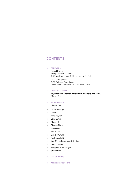# **CONTENTS**

### 3 Foreword

 Naomi Evans Acting Director | Curator Griffith Artworks and Griffith University Art Gallery

 Cassandra Schultz QCA Galleries Coordinator Queensland College of Art, Griffith University

### 4 CURATORIAL ESSAY

 Mythopoetic: Women Artists from Australia and India Marnie Dean

# 10 Artist essays

Marnie Dean

- 10 Dhruvi Acharya
- 12 Di Ball
- 14 Kate Beynon
- 16 Laini Burton
- 18 Marnie Dean
- 20 Simone Eisler
- 22 Fiona Hall
- 24 Pat Hoffie
- 26 Sonia Khurana
- 30 Pushpamala N.
- 32 Ann-Maree Reaney and Jill Kinnear
- 34 Mandy Ridley
- 36 Sangeeta Sandrasegar
- 38 Shambhavi
- 40 list of works
- 43 Acknowledgements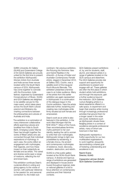# FOREWORD

Griffith University Art Gallery (GUAG) and Queensland College of Art (QCA) Galleries are proudly united for the first time to present the exhibition *Mythopoetic: Women Artists from Australia and India* across three venues located within the South Bank campus of QCA. *Mythopoetic* has come together to coincide with the *Encounters: India* festival, organised by Queensland Conservatorium of Music. GUAG and QCA Galleries are delighted to be satellite venues for this major event, which takes place across the South Bank cultural precinct and Brisbane city, charting connections between the philosophies and cultures of Australia and India.

The exhibition is a culmination of many interwoven collaborative efforts spanning cultures and localities from India to South Bank. Emerging curator Marnie Dean has brought together the works of fifteen artists who are connected through their individual explorations of mythology. In each case, the works reflect an engagement with mythologies, their legacies, and how these impact on their subjectivity as females and as artists. The varied and diverse works span a range of mediums, reflecting the rich and broad topic.

This exhibition continues Dean's curatorial efforts in uniting and giving agency to the voices of women, with particular reference to her passion for, and personal connection to, the Indian sub-

continent. Her previous exhibition, *Re-Picturing the Feminine: New and Hybrid Realities in the Artworld—A Survey of Indian and Australian Contemporary Female Artists,* staged in December 2012, at Gallery OED, Cochin, was a satellite event of the inaugural Kochi-Muzuris Biennale. This exhibition presented a feminist case to an Indian audience. Many of the artists from this earlier exhibition are again represented in *Mythopoetic* in a continuation of the dialogue begun in the Cochin exhibition. Here the artists elaborate further, reclaiming and creating new mythologies while firmly situated as both female and empowered.

Dean's work as an artist is also featured in this exhibition. In the work titled *Morrigan-Kali the "SHE-WOLF": Wave of the Future*, Dean recontextualises feminine myths pertinent to her own identity, leading the call to women to write their own mythologies. *Mythopoetic* brings to light new possibilities by exclaiming, in a female chorus, the ancient and contemporary mythologies of existence, travel, discovery, creation, destruction, and rebirth.

GUAG is a free public gallery located at the QCA's South Bank campus. A diverse and rigorous range of exhibitions are generated and displayed in-house and/or toured throughout regional, state or national galleries in a bid to focus attention on contemporary practices and their historical contexts.

QCA Galleries present exhibitions of, by, and for students, staff, alumni, and relevant artists in a range of galleries located on the QCA campus and elsewhere. The QCA Galleries provide vital support and opportunity for practitioners to present and engage with art. These galleries are often the first place in which student artists hold exhibitions, and through this exposure, gain a further audience beyond the institution. QCA Galleries nurture fledgling artists in a tiered experience offered in a safe space, to experiment and begin their practice while moving through increasingly professional activities that ground them for a longer career in the wider arts world. Exhibitions such as *Mythopoetic* situate these fledgling artists in a context of excellence alongside professional artists, many of whom are foremost in their field.

*Mythopoetic* represents a fruitful opportunity for our two multifaceted organisations to work together, eloquently demonstrating a shared goal of fostering understanding and excellence in art.

### Naomi Evans Director, GUAG

Cassandra Lehman-Schultz QCA Galleries Coordinator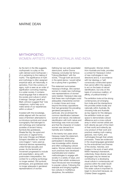# MARNIF DFAN

# MYTHOPOETIC: WOMEN ARTISTS FROM AUSTRALIA AND INDIA

As the term in the title suggests, *mythopoetic* is a play on the Latin-derived word *mythopoeic* of or pertaining to the making of myths.1 The significance of myth and mythology is often assigned empirical value, art historically, in semiotics. From this currency of signs, myth is seen as an order of signification connoting meaning to a wider society. It contains visual language that is relevant to the society and culture in which it belongs. George Lakoff and Mark Johnson suggest that "Like metaphors, myths help us to make sense of our experiences within a culture."<sup>2</sup>

Invested with this knowledge, artists aligned with the second wave of feminism attempted to re-introduce symbols and visual iconography that belonged to old mythology and matriarchal societies of ancient history. Symbols like goddesses, Sheela Na Gig, the spiral and yoni/vulvic or vaginal forms that Judy Chicago and Miriam Schapiro identified as "centralcore imagery",3 were used as rhetorical devices representing united female sexuality and power. As the feminist art movement progressed to include anti-essentialism, along with postmodern interpretation, the context for a unifying symbology no longer existed. Old symbols, archetypes, and goddesses were no longer adequate in gendered representations of women.

Defining her own anti-essentialist stand-point, author Donna Haraway concludes her famous "Cyborg Manifesto" with the words, "Though both are bound in the spiral dance, I would rather be a cyborg than a goddess."4

This statement summarises Haraway's findings. She wanted women to create new mythology; new representations of women were needed. Haraway's idea was that these new mythologies could adequately characterise women in modern times and move beyond the binary oppositions that had generated the prevailing gendered perceptions. In particular, she scrutinised the common identification between women and nature; she believed identification with both nature and technology was more accurate and that the character of modern women was derived from hybridity and multiplicity.

In the twenty-two years since Haraway made this statement, contemporary artists have participated in developing new knowledge within diverse and often overlapping cultural realms. Women artists involved in such practices have developed sophisticated and creative methodologies to engage with society in a variety of ways, and through their artistic endeavours have introduced new knowledge to popular culture. Following this example and bringing together two cultures in multifarious disciplines, the exhibition

*Mythopoetic: Women Artists from Australia and India*, provides a context for Haraway's notion of new mythologies in new directions and is, in accordance with her ideology, a "selfconsciously constructed space that cannot affirm the capacity to act on the basis of natural identification, but only on the basis of conscious coalition, of affinity, of political kinship".5

The exhibition looks at the strong contemporary art emerging from India and the intersections this provides artists locally and nationally within Australia. By choosing India and Australia as key regions for this dialogue, the exhibition holds an open space to demonstrate cultural difference and a cross-cultural array in which women artists are both directly (as part of the intent of their work) and indirectly (as a by-product of their work and practice) creating myth-making gestures, new myths, and mythologies through their artistic processes. These are evidenced in the visual languages generated by the embodiment and themes of the stories, histories, and images in the work of each artist. Within Haraway's framework, collectively, these diverse visual languages may be viewed as contributing to a developing visual culture in contemporary art practice within the wider South Asian and Asia Pacific regions. This wider culture is important to begin to document because, as Charles Green suggests,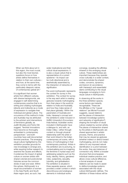this region, the most crucial, but also the most blurred, questions focus on how artists define themselves in relation to their own cultures and how, at the same time, they come to terms with the particularly diasporic nature of contemporary global art.<sup>6</sup>

It is significant that women artists from different cultures, with diverse backgrounds, are engaged in self-determining contemporary practice that is rewriting and creating mythologies (directly and indirectly) as a mode of expression to navigate their individual and global culture. The occurrence of this method in India and Australia may be attributed to the activism and interventions of feminisms globally; as Judith Brodsky and Ferris Olin suggest, "feminist innovations have become so thoroughly embedded in contemporary perspectives",<sup>7</sup> and both countries have well-documented feminist practices. The emerging visual culture highlighted by this exhibition provides grounds for new knowledge to emerge and, while requiring further research to examine the causes and effects, it evidences the impact of global culture on women artists with shared colonial and postcolonial histories across the common divide of east and west. Within this sphere, *Mythopoetic* is a visual documentation of women in the Asia Pacific and South Asian region (and, as such, has

wider implications) and their critical visual expressions. It is also a visual culture that is representative of a current episteme—its impact can be multi-directional and is aesthetically assembled by the interaction of networks of signification.

The word *mythopoetic* represents the context for survey in this exhibition. The context for survey is the way each artist is creating gestures towards mythologising from their place in the world (in relation to India and Australia), and how they make sense of that place (globally). Within the parameters of Australia and India, Haraway's concept and the exhibition's wider inclusion in Griffith University's Encounters: India festival, Australian works included in *Mythopoetic* have a dialogue to, and with, an Indian milieu—either through content or through physical relationship (with the artist or their work linked to the Indian contemporary art scene, with a history of mythologising in their contemporary practice). Artists in this exhibition are re-picturing, recontextualising and re-imagining the feminine in myriad ways and addressing subjects such as the body, identity, history, gendered roles, subjectivity, sexuality, hybridity, and globalisation. The exhibition is situated in three separate spaces, which provides a wider context in which discontinuous and analogous elements in individual works

When we think about art in Theoric mplications) and their Theoric converge, revealing the affinities Theoric s inherent in this emerging visual culture. These relationships are important because they operate cross-culturally in a wider context, and demonstrate the shared codes, concerns, dynamics, and lexicon (in accordance with Haraway's anti-essentialist slant) contributing to the visual languages converging to form visual culture in *Mythopoetic*.

> In observing all the works in the three exhibition spaces, some factors are instantly recognisable. These are the affinities or the "causal relations" (as Michel Foucault suggests, causal relations are the places of intersection between knowledge systems and networks of signification<sup>8</sup>) shaping the formation of visual culture created by women artists. The places of intersection shared by the artists in *Mythopoetic* are shared approaches in artistic process, theme, and practice that may be viewed as gestures (whether indirect or direct) toward mythologising, and do not make claims for any imposed natural identification or *a priori* between the works, they are instances of connection only. Within a broader structure that encompasses individual creative practice, and allows cross-cultural difference, a formal analysis of causal relations can be made to assist to define knowledge systems associated with the visual culture *Mythopoetic* defines. The definition of these indices will be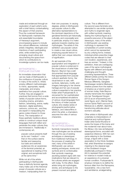made and evidenced through an exploration of each artist's work, with a brief history contextualising this aspect of their practice. Thus the curatorial framework for *Mythopoetic* maintains the anti-essentialist boundaries of Haraway's argument, encompassing space to include the cultural differences, individual artistic integrities, ideologies and intentions of each participating artist, while evidencing the emerging visual culture and documenting the space from which its contributions to knowledge systems can be made.

## MYTHOPOETIC— POPULAR CULTURE

An immediate observation that can be made of *Mythopoetic* is the confluence of popular culture in many of the works in. Artists employ different methodologies to mimic, appropriate, repeat, manipulate, and employ aesthetics from popular culture. Further, they are engaged in practices that borrow from a wide variety of popular-culture forms, including cinema, animation, fashion, advertising, anime, reality television, digital aesthetics, cartoons, comics etc., and they are expert in manipulating the genre codes inherent to those forms. The manipulation of these aesthetic traditions allows artists to construct unique visual languages that both reflect and penetrate the wider cultures they are immersed in. Traditionally in contemporary art,

popular culture presents itself as its own "medium"—one that on the surface seems familiar and reassuring but baits and switches audiences into an awareness of the feminist potential, an oppositional re-reading of the original, and sometimes both at the same time.<sup>9</sup>

While not all of the artists participating in *Mythopoetic* have a distinctly feminist agenda, many make use of the rhetorical power of popular cultures as a medium, manipulating them for

their own purposes. In varying degrees, artists in *Mythopoetic* use popular culture to offer alternative representations to the dominant depictions of the gendered feminine (art historically, culturally, and corporeally) and, in particular, employ it to make gestures towards creating new mythologies. The artists in this exhibition use popular culture to create a new visual culture, employing populist lexicon to define their own unique networks of signification.

An apt example of the appropriation and integration of popular culture is evidenced in the visual lexicon of artist Kate Beynon. Beynon has a welldocumented visual language that appropriates from popular culture's aesthetic forms. Her visual lexicon is vast, with symbols, talismans, motifs, and imagery belonging to her diverse heritage and her use of popular culture is essential to her practice. Indian artist Pushpamala N. is renowned for her sophisticated and accomplished emulations of various visual languages from the history of Indian popular culture; she creates series of photographic/performative tableaux, and videos/films in which the artist, a chameleon, assumes the roles of various characters.

## MYTHOPOETIC— RE-MYTHOLOGISING

Symbolic transactions towards new mythologies can be achieved through the use of existing archetypes or stereotypes from traditional mythology. In the process of creating the new, many of the artists in *Mythopoetic* use various existing archetypes, stories and symbols and re-contextualise their symbolic meanings, ascribing existent signs with new implications that are relevant to the cultures artists are engaged with today. To this effect, these artists bring old mythologies, stories, and archetypes to the present moment and global

culture. This is different from the second-wave feminists who attempted to use similar symbols and myths to engender signs with unified symbolic meaning. Seeing the mythical figure as a powerful precursor of the abject stereotype, many of the artists in *Mythopoetic* use existing mythology to represent the complexities of current society, which cannot be represented by any unifying forms; instead, individual artists prescribe image codes that are relevant to their own location, experiences, and lives as women.<sup>10</sup> Indeed, in this exhibition, there are overlapping uses of the same mythological figures with different and equally challenging and thoughtprovoking representations. Three different artists portray the Greco-Roman figure of the Gorgon-Medusa differently. Sangeeta Sandrasegar reclaims Medusa's creative powers from the realms of shadow as a hybrid symbol of women today; Kate Beynon cleverly transmutes the original into her *Transfigured Gorgon* (2012) as an empowering antiracist figure; and I, Marnie Dean, borrow Sylvia Plath's account of Medusa as a Jellyfish, depicting transforming attitudes about women's sexuality.

Other artists in *Mythopoetic* also undertake re-interpretations of historical and mythical figures*.* Indian artist Sonia Khurana reworks the tropes of the tramp and the modernist man-about-town, the *flâneur,* into new archetypical/ stereotypical forms, encoded with subjective inference. With her own name referring to the Goddess Durga, a figure with a close association to the Hindu Goddess Kali, artist Shambhavi re-assigns meaning to the classical sign of the Goddess's tongue (traditionally portrayed in Hindu Art) to represent the potential for violence in modern India as an experience of a universal human condition. Pushpamala N. employs mimesis to re-define the famous villain from the Ramayana, 'surpanakha'*,* into a new form and semblance, amalgamating

6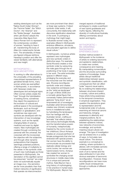existing stereotypes such as the "Native South Indian Woman", the "Femme Fatale", the "Witch Doctor", the "shaman" and the "Noble Savage". Australian artist Laini Burton adopts the masculine Atlas figure from Greco-Roman form to represent the contemporary condition of women "wanting to have it all", transforming the body of Atlas into metamorphic female form. The simultaneity of these pre-figured critiques reinforce Haraway's position and offer the viewer familiarity with alternatives and new insight.

### MYTHOPOETIC— NEW ARCHETYPES

In working to offer alternatives to the universality of the prevailing masculinised representations of gendered female forms, many women artists (as exemplified in *Mythopoetic,* in accordance with Haraway) create new stereotypes and archetypal signs. Often women artists create the "new" through the hybridisation of existing forms; sometimes they depict the experience of the evolution of cultural and political space in the sociological landscape, such as through migration or globalisation; and sometimes new signs and symbols are developed with the intervention of new knowledge systems, such as the rapidly changing fields of science, medicine and even by digital means. New mythologies are created through combining the personal with the universal, the corporeal with the incorporeal, the objective with the subjective, and through other dynamic juxtapositions that integrate seemingly polarised positions. offering a range of multiplicity to the viewer. In the symbolic order of such new mythologies as those presented in *Mythopoetic,* the denotation of the signified cannot be presumed; "woman" as a sign does not automatically equate an image crux—the semiotics are far more pluralistic than that. Indirect networks of signification that operate via interconnection

are more prominent than direct or linear sign systems. If direct symbolic order exists, it will, concurrently, find relationship with discursive signification elsewhere in the work. In portraying a mythology that might begin to illustrate women today, the examples offered in *Mythopoetic*  embrace difference, simulacra, and polyvalent agencies to define visual culture.<sup>11</sup>

In *Mythopoetic*, numerous artists represent new mythologies and new symbolic orders in distinctive ways. For example, Sonia Khurana creates a new symbolic order by subsuming the male gaze through the repositioning of her body in space in her work. The artist embodies spaces in different ways, privileging the everyday and the horizontal over the vertical axis. Khurana reconfigures symbolic order and creates new subjective archetypes such as the "artist-as-landscape" (in *Logic of Birds* 2006) and a nomadic global figure that conversely makes performative gestures "lying down" as an empowered act of sovereignty. Australian artist Simone Eisler creates new chimeric sculptural forms in installational suites by hybridising the landscapes from her heritage with the Australian terrain, crafting an "animalia" that reflects twentyfirst-century technologies literally, and the transformative powers of humanity, metaphorically. Inspired by the comic books of her childhood, Dhruvi Acharya creates an unusual pantheon of female protagonists that she has endowed with special powers. Her women have the ability to communicate via processes that replicate cellular biology and comic books; her women are hybrid botanic forms. Acharya has created her women to symbolise the changing socialstructures in middle-class India. It is a unique and personal mythos. Kate Beynon has a long history of mythologising in her practice in myriad ways. For *Mythopoetic,* Beynon has

merged aspects of traditional archetypes to create a pantheon of new hybrid goddesses and mythic figures, reflecting the diversity of multicultural Australia, offering commentary about racism and bigotry.

### MYTHOPOETIC— RE-ORDERING TAXONOMIES/ **EPISTEMOLOGIES**

Another method evident in *Mythopoetic* is the incidence of artists re-ordering taxonomic and epistemic relationships, to create new context, consequence and meaning. By manipulating nomenclature and the structures surrounding systems of knowledge, these artists disrupt traditional relationships between space and symbolic classification, with consequences that can affect "order" beyond visual realms. By re-ordering the relationships between structures inherent in society, culture and politics, these artists bring awareness to the temporal connections in empirical organisation. They question the ascriptions given to representation and the fundamental order of cultures, examining art historical canons and historicity, bringing awareness to alteriority and marginal positions. By reestablishing the relationships between epistemic indices, new networks of economies, knowledge, and symbolic meaning (visual culture) can emerge. This type of investigation can be entered into in a variety of ways, to formulate new visual culture. The obvious example is a conceptual reordering, where symbolism is altered, with immediate semiotic consequences. The way a work of art is named and the value attributed to it are other obvious examples of taxonomic reconfiguration. However, these reconfigurations can have more subtle visual consequences through a multitude of different approaches.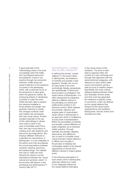8

A good example of this methodology exists in the work of Australian artist Pat Hoffie, who reconfigures taxonomic and epistemic mores in her practice through her production methods. Hoffie draws the viewer's attention to the existence of poverty in the developing world, with a particular focus on the ascriptions of value given within the global art market. By employing artisans in developing countries to make her work, Hoffie has been able to expand the networks available to those artisans and assign new symbolic meaning to society. This changes symbolic order and creates new archetypes with new visual culture. Another excellent example of the use of this methodology to devise new myths is seen in the work of Australian artist Fiona Hall, who has a long history of creating work with epistemic and taxonomic reconfigurations. She employs different methods to undertake her interventions. In *Mythopoetic*, it is the materiality of the artist's work that reconfigures the normal associations between symbolic meaning, taxonomy, and epistemology. The material she uses to make her work disrupts the viewer's normal associations between the "visual, cultural and symbolic orders"; in the process Hall depicts a new archetypal and stereotypical *21*st *Century Man* (2011).

### MYTHOPOETIC—HYBRID AND PLURAL VISUALITY

In defining the primary "causal relations" in the visual culture in *Mythopoetic,* the existence of hybridity and plurality is also apparent. Visually, this occurs at many levels in the work: symbolically, literally, perceptively, and aesthetically. A hybrid and plural position is privileged in the visual culture of *Mythopoetic*. It is often represented as subjective, offering a different stance to the prevailing uni-central and phallocentric position in arthistorical canons. What replaces the primarily, objective and singular gaze of masculinised visual culture in *Mythopoetic* is an approach which is multifarious at every level of representation. Within the boundaries of hybridity and plurality, cultural difference is easily integrated, as is individual artistic practice. Through hybridity and plurality, disparity, dissonance, and difference can co-exist in a broader visual culture that also makes reference to affinity and mutuality in the process of realising new mythologies related to the diverse experiences of women from different cultures in today's global world.

In the following explorations of each artist's work in *Mythopoetic*, particular reference is made to the categories defined as the causal relations belonging

to the visual culture of this exhibition. The work of each artist is explored within the context of a new mythology and through their alignment with the aforementioned categories, with reference to each artist's wider oeuvre and practice, giving a brief account of creative careers. Specifically, the cross-cultural dialogue existing between Indian and Australian women artists and their work has generated the existence of specific zones of connection, which are defined as the causal relations that foreground the visual culture represented by this exhibition *Mythopoetic: Women Artists from Australia and India.*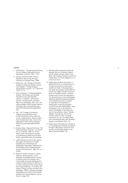### **NOTES**

- 1. "Mythopoeic," *The Macquarie Dictionary,* 2nd ed. (Sydney: Macquarie Library, Macquarie University, 1987), 1133.
- 2. George Lakoff and Mark Johnson, *Metaphors We Live By* (Chicago: University of Chicago Press, 1980).
- 3. Please see Judy Chicago and Miriam Schapiro's article that defines "central core imagery", *"*Female Imagery, *" Womanspace Journal* 1, no. 3 (Summer 1973): 11–14.
- 4. Donna Haraway, "A Cyborg Manifesto: Science, Technology, and Socialist-Feminism in the Late Twentieth Century," in *Simians, Cyborgs and Women: The Reinvention of Nature*  (New York; Routledge, 1991), 181. Full article available online through Stanford University, http://www.stanford.edu/ dept/HPS/Haraway/CyborgManifesto. html.
- 5. Ibid., 155. To begin to locate the position and parameters of the curatorial framework and context for survey in *Mythopoetic: Women Artists from Australia and India,* I borrow the statement in which Donna Haraway defines her anti-essentialist feminist space.
- 6. Charles Green, "Beyond the Future: The Third Asia-Pacific Triennial," *Art Journal* 58, no. 4 (Winter 1999): 81. In this article, Green discusses the position of contemporary artists from the Asia Pacific (specifically India and Australia).
- 7. Judith Brodsky and Ferris Olin explore the impact of feminisms in society generally and contemporary art specifically in the article "Stepping Out of the Beaten Path: Reassessing the Feminist Art Movement," *Signs* 33, no. 2 (2008).
- 8. Michel Foucault's concept of "causal relations" are the places in which disparate knowledge systems overlap, in shared zones of connection and commonality. Foucault addresses this subject broadly through his definition of a modern episteme in the chapter titled "The Human Sciences", in his book *The Order of Things* (London and New York: Routledge, 1966). A particular passage describing the structure of the modern episteme and causal relations may be found on page 378.
- 9. See Maria Elena Buszek's article that explores the use of popular culture in women artists' practice, titled "Once More, with Feeling. Feminist Art and Pop Culture Now," *Art Pulse Magazine* 3, no. 4 (Summer 2012).
- 10. Geeta Kapur explores the impact of global feminisms on contemporary art through the practice of five women artists from India. In the beginning of the essay she explores the semiotics of "women as image" through an account given by Rosalind Krauss, in feminist practice and I borrow her idea (about the deconstruction of the masculinised gazes [via global feminisms] privileged in art historical canons) to provide an example of the aesthetics in *Mythopoetic* in the first paragraph under the sub-title "Mythopoetic—New Archetypes"; two of the artists the author investigates in this essay are also in this exhibition. Kapur, "Gender Mobility: Through the Lens of Five Women Artists in India," in *Global Feminisms*, ex. cat., ed. Maura Reilly and Linda Nochlin (New York: Brooklyn Museum and Merrell, 2007), 79.
- 11. Geeta Kapur introduces the concept of re-mythologising in feminist art practice through a discussion of the work and practice of artist Nalini Malani in her essay "Gender Mobility", 83.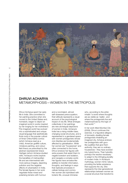

# DHRUVI ACHARYA METAMORPHOSIS—WOMEN IN THE METROPOLIS

Dhruvi Archarya spent her early life in India. She committed to her painting practice when she moved to the United States and, homesick, began to depict an imagined world in works inspired by her longing for her motherland. This imagined world has evolved into a sophisticated and unique visual language that aesthetically finds roots in the popular culture of Amar Chitra Katha comics (which Acharya read as a child), American graffitti culture, miniature painting, and colourfield theory as prescribed by the abstract expressionist Grace Hartigan (whom Acharya studied with). Acharya's works explore the banalities of metropolitan life and are intermeshed with more serious imagery, depicting pollution and the negative effects of urbanisation in India. The female figures in her work negotiate these mixed and polarising terrains with humour

and a nonchalant, almost self-obsessed preoccupation; their attitude represents a visual account of the psychological impact of city life. What emerges collectively in her paintings are new archetypal depictions of women in India. Acharya's India has a rising middle-class, changing social structures, and is represented in a gendered space with women protagonists whose civic liberties are fundamentally affected by globalisation. While her women are "housewives" and often connected to the home, Dhruvi endows her figures with extra powers that assist them to negate boredom and isolation, and navigate a complex world. Her figures have amoeba-like abilities to transfer information, thoughts, and feelings in ways that replicate processes in cellular biology and comics. Her women are hybridised with botanic life, unusual chimeras

who, according to the artist, inhabit "a world where thoughts are as visible as 'reality', and where the protagonists live and metamorphose by the logic of that world."1

In her work titled *Mumbai City*  (2009), Dhruvi continues this exercise, in a figurative allegory of domestic-dwelling female protagonists inhabiting an imagined city. Acharya endows her protagonists with gurulike qualities that give them authority; they are no ordinary housewives—they have evolved into hybrid forms. Their hybridity portrays the resolve necessary to adapt to the infringing plurality of modern India. In Acharya's mythology, women mimic nature, providing the fertile substance that supports the city. She represents the inter-generational relationships between women as a social structure that transforms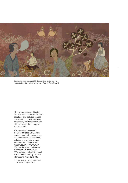

Dhruvi Achary *Mumbai City* 2008, diptych: digital print on canvas. Image courtesy of the artist and Chemould Prescott Road, Mumbai.

into the landscape of this city. Mumbai, which is one of the most populated and polluted centres in the world, is characterised in a manifestly feminine framework, with a structure that is organic and permeable.

After spending ten years in the United States, Dhruvi now works in Mumbai. Her paintings have been shown in museums, galleries, and art fairs around the world, including the San Jose Museum of Art, USA, in 2011, and the National Gallery of Modern Art, Mumbai, in 2004. A large-scale digital mural was commissioned by Mumbai International Airport in 2009.

1. Dhruvi Acharya, correspondence with the author, 27 August 2012.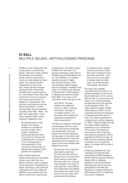# DI BALL MULTIPLE SELVES—MYTHOLOGISING PERSONAE

Di Ball is a new media artist with a long history of "performing selves". Ball had an early creative life working as an architect, where a flair for performance found an outlet designing theme parks. Her creative practice progressed into the visual arts, where she first emerged playing the role of the Hindu Goddess Kali, in performances for Luke Robert's Pope Alice. Ball continued to hone her practice and was an early pioneer of digital art in Queensland, with artwork constructed around her "performing selves", in which she assumes various characters including "Fleur Ball", "iBall", "Glo Ball" and "Beach Ball". Linda Carroli explains Ball's modus operandi, suggesting that,

By evoking these myriad avatars, Di is asking whether it is possible for anyone to really "know thyself", despite the Apollonaire doctrine which commands it, because the multiplied self is constantly in flux. Subsequently, in the presentation of this cacophony of personae, Di deploys technologies of self, gender and subjectivity.1

Ball's multiple selves are performance personas and digital avatars, each with their own distinct narrative, each an aspect of the artist that is integrated as a larger mythology, a very personal mythology and a logo called the BallPark, accompanied with the axiom *my life is/as a theme park*

(a reference to her earlier career). Di Ball is the "architect" of a growing mythology, which has an interface at www.theballpark.com. au. The "BallPark" is a creative practice founded in digital and feminist theories, which encompasses digital imaging, web-art, blogging, installation and video. In the video work featured in *Mythopoetic*, Di Ball explores a relatively new persona called "binDi Ball". It is a play on the word bindi, which she says is the

HOT SPOT: The area between the eyebrows, known as "Ajna" meaning "command", the seat of concealed wisdom. It is the centre point wherein all experience is gathered in total concentration*.* 2

For Ball, her character "binDi Ball" encompasses both her name and the word bindi phonetically and symbolically. The work begins with the artist applying the blue paint of her former self and the Kali persona. The paint disappears and re-appears, as layers of truth are revealed; Ball relates the journey,

So binDi set off to India and attempted to peel back the veils. But India was not always kind to her, the photo shoot beauty a mere layer. She was older now, a young mind trapped in the body of a 60 year old. It was difficult. She visited forts and palaces, and wished they were not all built on the top of hills. She experienced the stillness

of a lake at sunset, quickly marred by the din of traffic. She wasn"t looking for God, and never found her... But she found her voice again in Kerala where her heart sang. Her smile returned. Her laughter was heard.<sup>3</sup>

The video was originally commissioned for inclusion in a collateral exhibition to the Kochi Muziris Biennale in 2012, and so Ball set forth on a journey all over India in the months preceding the Biennale to find the self that would emerge in India. The video reflects the gaze of Ball's Indian persona "binDi", as she meanders through the landscape of Varanasi and other parts of India. The video is presented in circular format, another reference to "BinDi". What emerges through this video is Ball's subjective experience; it is a reclamation of the value of womanhood, removing the veils of ideology prescribed by popularist notions regarding femininity and age. As Ball's journey progresses beauty is revealed, an un-superficial reality, in contrast with the title of the work.

Di Ball has exhibited her work nationally and internationally, participating at ISEA Singapore (2008), *Re-Picturing the Feminine*, Gallery OED, a collateral exhibition of the Kochi Muziris Biennale Open (2012) and has participated in the Nes Arts Residency in Iceland (2009) and ISEA Istanbul (2010). Di Ball lives and works in Brisbane.

12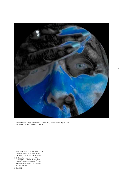

Di Ball *BinDi Ball Is Deeply Superficial* 2012 (video still), single-channel digital video,<br>15 min, (looped). Image courtesy of the artist.

- 1. See Linda Carroli, "The Ball Park," 2000, accessed 1 April 2013, http://www. theballpark.com.au/aboutkrystal.htm.
- 2. Di Ball, artist statement from "Re-Picturing the Feminine", Gallery OED Cochin, collateral venue to the Kochi Muziris Biennale Open, 12 December 2012–28 February 2013.
- 3. Ball, ibid.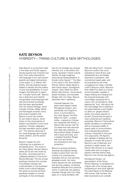# KATE BEYNON HYBRIDITY—TRANS-CULTURE & NEW MYTHOLOGIES

14MYTHOPOETIC: WOMEN ARTISTS FROM AUSTRALIA AND INDIA MYTHOPOETIC: WOMEN ARTISTS FROM AUSTRALIA AND INDIA

Kate Beynon is a prominent artist in the Asian and Pacific regions, whose practice has morphed over time. From early interventions with language to the "grrrl-power" exploits and digital interventions of her avatar "Li Ji: Warrior Girl" (2000), she has explored issues related to identity and the politics of race and globalisation in iconic imagery that attempts to depict her "complex hybrid self". Beynon has a distinctive and instantly recognisable visual language with well-documented symbology that has been appropriated from her diverse heritage, which includes Chinese, Malay, Welsh, and Norwegian ancestry. Anna Edmundson explains that "Beynon's work has evolved its own distinct lexicon, which draws on the visual genres of Eastern and Western comic book graphics, Chinese calligraphy and late-twentieth-century graffiti art."1 The diverse influences in her visual language also include anime, fashion, and the artist's family life.

Beynon creates her own mythology via a pantheon of archetypal forms. The works in the *Trans-Mythic Woman Warrior*  series (2012) are new works by the artist, commissioned for a collateral exhibition to the Kochi Muziris Biennale. The five circular paintings introduce the concept of Australian hybridity and multiculturalism to the Australian-Indian cross-cultural dialogue. The series re-pictures feminine gendered imagery to include portrayals of new archetypes

that do not privilege any singular ethnicity, but, in the artist's own words, represent "hybrid cultural identity, through imagining transcultural reinterpretations of female mythic figures".<sup>2</sup> The titles of the works in the *Trans-Mythic Woman Warrior Series* allude to their hybrid nature: *Transfigured Gorgon*, *Nine-Tailed Fox Spirit*, *Warrior Mer-Woman*, *Transcultural Spider Goddess*, and *Guardian Ranger with Lion Dogs*. Beynon describes them, explaining

Centrally featured, the green-eyed dragon-haired *Transfigured Gorgon*, who specifically turns bigots to stone, is surrounded by four other figures: the *Nine Tailed Fox Spirit*—a shapeshifter—inspired by Chinese and Japanese folk stories, a *Warrior Mer-woman* with Tai Chi blade and robe adorned with deep sea creatures, a *Transcultural Spider Goddess* with 8 eyes and limbs, and a cloaked *Guardian Ranger* with bow and arrows, accompanied by lion dog protectors.3

Beynon's growing pantheon shrewdly reconfigures female bodies to place them into the context of a contemporary Australian and an, ever growing, globalised world. Her transmythic figures are new archetypes that she has created, combining beneficial attributes from previous myths. In particular, the painting *Guardian Ranger with Lion Dogs* plays on a visual familiarity with

"little red-riding-hood", however Beynon's version has come prepared to ward off any wolf, represented as a formidable opponent to predators, with a protective breast-plate, and accompanied by her three courageous lion dogs, a familiar motif in Beynon's work. Beynon's *Nine-Tailed Fox Spirit* is a roving environmentalist, capable of shape-shifting and merging into the physical landscape with camouflage, preparing her to cope in any circumstance, while keeping her "foxy" wits about her. The camouflage she is wearing in this guise features a print based on ginko (or "gingko biloba") leaves, the unique species of ancient Chinese tree thought to have nutritional and medicinal properties. Beynon's *Transcultural Spider Goddess* is a networker with an impressive ability to weave webs of communication and understanding between cultures. Presented in the pose of a yoga *asana*, the figure is also capable of dealing with the stresses of modern life (a link to Beynon's use of talismans and symbols in earlier series). Her *Warrior Mer-Woman* is an expert martial-artist and no longer a passive mermaid without legs, Beynon's mer-woman has agency.

*Transfigured Gorgon*, an appropriation of the Greco-Roman Medusa, is translated into a figure with a firm female gaze, possessing an anti-racist agenda. The hybrid figure of the Medusa, half-woman, half-monster, has been perceived as an outsider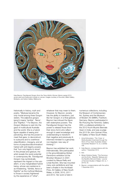

Kate Beynon *Transfigured Gorgon* (from the *Trans-Mythic Woman Warrior* series) 2012, acrylic paint and Swarovski crystals on canvas. Images courtesy of the artist, Milani Gallery, Brisbane, and Sutton Gallery, Melbourne.

historically in history, myth and poetry. "Medusa became the only mortal among three Gorgon sisters. The adjective gorgos (gorg'j) means 'terrible', 'fierce', and 'frightful'."4 For Beynon, the *Gorgon Medusa* is cast into the gaze of multicultural Australia and the world. She is a hybrid figure capable of seeing and perceiving; she has the power to meet that gaze, to deconstruct, to subsume and to overthrow objectification, misogyny, and all forms of prejudice/discrimination/ hatred with anti-bigotry powers that "turn only bigots to stone". In this phrase and gesture, the artist reveals the racist potential in contemporary life. *Transfigured Gorgon* may symbolically represent the migrant or the subaltern, or any marginalised hybrid being, whose very existence is as threatening, "terrible, fierce or frightful" as the mythical Medusa, to those in society frightened by the experience of "other",

whatever that may mean to them. However, for Beynon, society has the ability to transform, just like her Gorgon; in a final gesture, Beynon has imbued the figure with redemptive powers: "the *Transfigured Gorgon* has the power to release those (from their stony form) who reflect enough to seek knowledge and understanding to transform their negative and previously illinformed mindset to a genuinely non-bigoted, new way of thinking".5

Beynon has exhibited her work internationally. She participated in the groundbreaking *Global Feminisms* exhibition at the Brooklyn Museum in 2007, curated by Maura Reilly and Linda Nochlin. She has mounted many solo exhibitions and has been a finalist in the Archibald Prize, Art Gallery of New South Wales, in 2006, 2010, 2011 and 2012. Her work is held in

numerous collections, including the Museum of Contemporary Art, Sydney and the Museum of Modern Art (MMK), Frankfurt, Germany. Beynon participated in *Re-Picturing the Feminine*, Gallery OED, a collateral exhibition to the 2012 Kochi Muziris Biennale Open in India, and was a judge the 2013 Sir John Sulman Prize, Art Gallery of New South Wales.

- 1. Anna Edmundson, "The 'Crisis' of Multiculturalism Examined through the Work of Four Asian-Australian Artists, *Humanities Research* 15, no. 2 (2009): 106.
- 2. Kate Beynon, correspondence with the author, 7 December 2012.
- 3. Ibid.
- 4. Miriam Robbins Dexter, "The Ferocious and the Erotic: 'Beautiful' Medusa and the Neolithic Bird and Snake," *Journal of Feminist Studies in Religion* 26, no. 1 (2010): 25.
- 5. Beynon, correspondance with the author, 7 December 2012.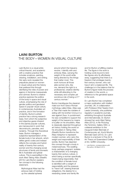# LAINI BURTON THE BODY—WOMEN IN VISUAL CULTURE

Laini Burton is a visual artist, critical theorist, and academic with a creative practice that includes sculpture, painting, drawing, installation, and writing. Her early work revealed the prejudices placed on women in visual culture and the history that prefaced this through identifying the roles of power and agency in feminine masquerade and carnival. Burton's creative practice explores the politics of the body in space and visual culture, emphasising the role of gender politics and gendered space in popular visual culture, in contemporary Australian art practice, and in the formation of identity. Burton's artistic practice has a strong research base, from which the subjective and objective gazes inherent in the (same) popular cultures, are manoeuvred in work that deconstructs, parodies, and reclaims. Through this theoretical base, Burton manages a subjective representation of the female body in her artwork, which defies genre codes and instead reflects the complex and hybrid reality of twenty-first-century women and the changing social structures of family and domestic life in Australian and global culture. This is exemplified in the work titled *Taking Atlas (Stealth)*  (2013); Laini Burton explains her concept in the following statement,

Mythological Atlas had the arduous task of holding up the celestial spheres

around which the heavens revolve. I identify with and embody Atlas, carrying the weight of the world while being directed by the things that matter most. This work honours all those able women who, like me, demand the right to a professional, creative identity while still attending to the necessary and complex yet wondrous role of being a 21<sup>st</sup> century woman.1

Burton transfigures the classical male icon from Greco-Roman mythology called Atlas. Atlas was a Titan that made the mistake of siding with his brother Cronus in a war against Zeus. In punishment, he was compelled to support the weight of the heavens by means of a pillar on his shoulders. Atlas is classically depicted throughout art history holding the world on his shoulders in *Taking Atlas (Stealth)* Burton transforms the Atlas metaphor to represent modern women, who carry the weight and responsibility of their worlds. Burton has depicted this concept through a body in metamorphosis. The swelling body, perhaps pregnant, isolates a characteristic of a changing twenty-first-century culture, in which being a woman specifically means being responsible, that the condition of female-hood is identified with a weight of responsibility and the pressure to "have it all"; bearing financial obligations, the desires for a rewarding career and family life

and for Burton a fulfilling creative life. The figure in the work is holding cords bound to birdlike figures who fly effortlessly away, suggesting that there is a freedom that privileges twentyfirst-century women, who can have it all in a balanced life. The challenge is in the balance that for Burton's figure holds the process of creation in the womb, a reference to the gendered space in the work.

Dr. Laini Burton has completed a major publication with Intellect Journals, UK, in collaboration with Professor Efrat Tseelon from Leeds University; she publishes regularly in academic journals, exhibiting throughout Australia and internationally. Dr. Burton showed her work titled *Taking Atlas* (2012), in *Re-Picturing the Feminine*, Gallery OED, a collateral exhibition to the inaugural Indian Biennale of Contemporary art, Kochi Muziris Biennale Open (2012). Dr. Laini Burton is a lecturer in Fine Art & Art Theory at Queensland College of Art, Griffith University.

1. Laini Burton, correspondance with the author, 29 March 2013.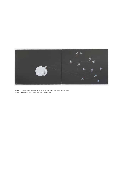

Laini Burton *Taking Atlas (Stealth)* 2013, diptych: pencil, ink and gouache on paper. Image courtesy of the artist. Photographer: Carl Warner.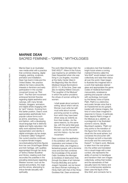# MARNIE DEAN SACRED FEMININE—"GRRRL" MYTHOLOGIES

Marnie Dean is an Australian new media artist with a practice that combines drawing, digital imaging, painting, sculpture, animation and installation. Dean has lived in India and the United States. Her practice reflects her trans-cultural life, interests in feminism and early participation in the countermovement known as "Riot Grrrl". The Riot Grrrl movement embraced feminist theories regarding digital aesthetics and cyborgs, with many female hackers, bloggers, animators and digital artists engaging with its "grrrl" rhetoric. Evolving from this earlier position, Dean's work appropriates aesthetically from popular culture forms such as anime, advertising, music and fashion, with a developing visual language that is distinctly digital and highly saturated. Her early work explored feminine representation and identity in digital ontologies via her avatar, a character called "Dollygrrrrl". Her current practice continues to explore female imagery recontextualising feminine figures from her own Druid/Pagan British and Irish heritage, with qualities appropriated through her study of Tantra (Tibetan Buddhist and Hindu), creating work that reconciles the polarities in the prevailing stereotypes regarding Western women: such as the sacred and profane, the virgin and the whore, attempting to imbue female sexuality with spirituality.

The work titled *Morrigan-Kali: the 'she-wolf": Wave of the Future,*  was inspired by an exhibition that Dean frequented when she was living in Los Angeles, mounted at the Getty Center titled *In the Beginning Was the Word: Medieval Gospel Illuminations*  (2010–11). At the time, Dean was also re-reading Hélène Cixous's "The Laughter of the Medusa" in which the author proclaims the virtues of women writing for women:

I shall speak about women's writing: about what it will do. Woman must write her self: must write about women and bring women to writing, from which they have been driven away as violently as from their bodies—for the same reasons, by the same law, with the same fatal goal. Woman must put herself into the text—as into the world and into history—by her own movement.<sup>1</sup>

Dean combines the aesthetics in the exhibition with Cixous's imploration and instead of the Christian bible, she imagines a fantastical gospel, with a feminine voice and lore that combines the knowledge of the ancient Celtic Goddess the Morrigan (a Goddess of destruction that, through the ideas of art historian Thomas McEvilley and author Joseph Campbell, can be traced via Greco-Roman mythology to Hindu Kali2 ) with that of the Hindu Goddess Kali. Dean envisioned

a relevatory text that foretells a bright future where a coming matriarch/heroine called the 'she-Wolf" would redeem women collectively and raise their status all over the world. Dean began to illustrate this imagined text in a work that replicates stained glass and appropriates the genre codes of medieval illuminated manuscripts, renaissance painting and popular cultures with symbology, borrowed by the literary voice of Sylvia Plath. Plath's is a distinctive and poetic female voice that is as impassioned as any gospel, loaded with intense imagery, the kind of voice Dean imagined in response to Cixous. In particular, Dean depicts Plath's image of the Medusa as a Jellyfish, as a protagonist in her illustrated women's volume, Sibylle Baumbach explains, "Plath not only points to the transition of this figure from the verbal and visual into the aural sphere, but conceives the encounter with the Gorgon as both a traumatic encounter and the overcoming thereof"*.* <sup>3</sup> In Dean's work, Medusa is taken from the oral sphere into the written and translated into a visual image with a new context, she represents the ability of women to transfigure and transform their own images collectively, writing their bodies and the sacredness of their sexuality back into history and into a contemporary episteme. Dean uses the figure of the She-Wolf, and connects her to

18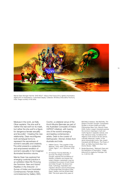

Marnie Dean *Morrigan-Kali the 'SHE-WOLF': Wave of the Future* 2012, lightbox illumination, digital print on transparency, customised display. Collection: Mr Binoj Cheruvathur Kochurry, India. Image courtesy of the artist.

Medusa in the work, as Kelly Oliver explains "the she-wolf is neither the real wolf nor its mask, but rather the she-wolf is a figure for dangerous female sexuality and fecundity"*.* Creating this new relationship, Dean reconfigures both archetypal forms to represent the sacredness of women's sexuality and creativity. The artist presents a subjective and empowered rendition of women's sexuality in her imagined illuminated feminine volume.

Marnie Dean has explored her emerging curatorial practice in an exhibition titled *Re-Picturing the Feminine: New and Hybrid Realities in the Artworld—A Survey of Indian and Australian Contemporary Female Artists,* commissioned by Gallery OED,

Cochin, a collateral venue of the Kochi Muziris Biennale (as part of the Australian Consulate of India's OZFEST initiative), with twentyone of the world's emerging and leading contemporary artists. Dean is the curator of *Mythopoetic: Women Artists from Australia and India*.

- 1. Hélène Cixous, "The Laughter of the Medusa," trans. Keith Cohen and Paul Cohen, *Signs* 1, no. 4 (Summer 1976): 875.
- 2. Art historian Thomas McEvilley, in his book *The Shape of Ancient Thought,* explores the foundations of Western civilisation and argues that today's Western mainstream must be considered the product of both Greek and Indian thought. He shows how trade, mythology, imperialism and migration allowed cultural philosophies to intermingle freely throughout India, Egypt, Greece, and the ancient Near East. This book spans thirty years of

McEvilley's research. See McEvilley, *The Shape of Ancient Thought: Comparative Studies in Ancient Greek and Indian Philosophies* (New York: Allworth Press, 2002). Author Joseph Campbell explores the common meanings in myth and mythic figures in separate cultures, and their relevance today; he believed the religions of the world to be the various, culturally influenced "masks" of the same transcendent truths. See Joseph Campbell with Bill Moyers, *The Power of Myth*, ed. Betty Sue Smith (New York: Anchor Books, 1988).

3. Sibylle Baumback, "Medusa's Gaze and the Aesthetics of Fascination," *Anglia-Zeitschrift für englische Philologie* 128, no. 2 (2010): 238.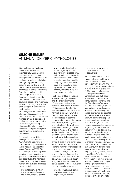# SIMONE EISLER ANIMALIA—CHIMERIC MYTHOLOGIES

Simone Eisler is a Brisbane based artist who works internationally and nationally. Her creative practice has emerged from an early focus on sculpture to include installation. photography, performance, drawing and painting in work that is meticulously and skillfully developed to combine elements from the natural world with technology. Eisler carefully fashions her imaginal worlds that may be constructed with sculptural objects and multimedia installation, through which, the artist engages in performative gestures that she documents, producing rich and atmospheric photographic series. Eisler's practice is fluid and inclusive and founded on her expertise as a sculptress, her work resonates with liminality, inhabiting strange yet familiar spaces "inbetween", that portray physical transformation, evolution and biodiversity.

The work in the exhibition *Mythopoetic: Women artists from Australia and India,* is titled *Field* (2007) and is from a larger installational suite titled *Anima Requiem* (2007). *Field* is an example of Eisler's poetic imagination, representing a "physical" collective of chimeras, that accentuate the instinctual character and libidinal drives of human nature. Eisler describes the work stating,

The installation *Field* from the larger *Anima Requiem*  is a rebirth/funerary garden, which celebrates death as a new beginning and as a transformative process. Only natural materials are used to create the installation, some materials once belonged to living organisms that have died, and these have been hybridised to create new entities, symbolic of new life and metamorphosis.

The horned entities in *Field* are enlivened through movement and the artist's command of her natural mediums. *Art Monthly Australia* editor Maurice O'Riordan says that, for Eisler, the "elongated arc of the animal horn is like a phallus", which in *Field* accentuates and extends the possibilities of both the human and the animal, by mixing their qualities, both physical and instinctual.<sup>1</sup> The work uses the ancient mythological figure of the chimera, as a metaphor for the development of modern biotechnologies; ancient vision in the twenty-first century has become a modern reality. Eisler brings this reality into a marvelous focus, literally and symbolically. The term "anima", references both animals and the Jungian notion of anima/animus, wherein the anima is the female within the male psyche, sometimes shown as a woman in a man's dream, a signifier of the unmistakable sexual aspect of the work. Eisler's pseudo-sexual mythology is,

Childlike, ritualesque, equally conversant with what's frightening, endearing

and cute—simultaneously pantheistic and postapocalyptic.<sup>2</sup>

Simone Eisler's *Field* evokes imagery of what might have been a "remote colonialist perception" of "Terra Australis," but is grounded in the complexity of multi-cultural Australia. Her *Field* re-creates a fantastical landscape imbued with the atmosphere and dark otherworldliness of her ancestral Transylvania (in Romania) and the Black Forest (Germany), with materials belonging to the eco-culture and landscape of Australia. Upon entering the space, the viewer is presented with a beach-like scene, with a natural palette that appears to transcend into the gallery walls. The foreground of the installation is inhabited by a series of gleaning horned creatures, beautifully worked objects that are mysteriously submerged in mineral ilmenite sand. The creatures are both ancient and futuristic, ostensibly in possession of another knowledge or wisdom, so fundamentally different from humankind, yet driven by the same instincts and desires; they might, imaginatively, thrive in any Grimm's Brother's tale. Eisler creates a world with an "irrevocation of an ever-evolving humanity," in her own unique mythology with surrealistic juxtapositions that combine binary elements such as male and female, nature with technology and involuntary with voluntary drives.3 *Field* is an enigmatic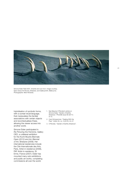

Simone Eisler *Field* 2007, ilmenite and cow horn. Image courtesy, Spiro Grace Art Rooms, Brisbane, and Gallerysmith, Melbourne. Photographer: Mick Richards.

hybridisation of symbolic forms, with a surreal visual language, that manipulates the familial associations with certain objects and recontextualises these, allowing the viewer access into another world.

Simone Eisler participated in *Re-Picturing the Feminine*, Gallery OED, a collateral exhibition for the Kochi Muziris Biennale Open (2012) and *Arc Biennial of Art,* Brisbane (2009). Her international residencies include the Cite Internationale des Arts, Paris, Artist-in-residence (2008), PAF Artist-in-residence, St Erme, France (2007). Eisler has mounted many solo exhibitions and public art works, completing commissions all over the world.

- 1. See Maurice O'Riordan's article on Simone Eisler, "Garden of Earthly Shadows," *Photofile* issue 90 (2011): 8–10.
- 2. Carol Schwarzman, "Dealing With the Past," *Artlink* 30, no. 3 (2010): 44–47.
- 3. O'Riordan, "Garden of Earthly Shadows".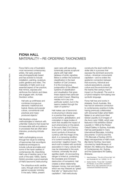# FIONA HALL MATERIALITY—RE-ORDERING TAXONOMIES

Fiona Hall is one of Australia's most renowned contemporary artists. Her early practice was photographically based and has evolved to include installation, painting, sculpture, public gardens and video. The materiality of Hall's work is an essential aspect of her practice, that mimics, exposes and reinforces the rhetoric and ideas she engages with. As Kate Davidson writes:

Hall sets up antitheses and combines incongruous elements: traditional and topical, literary and popular culture, conventional craft practices and massproduced objects.<sup>1</sup>

Hall develops unique methodologies to interlock with unfamiliar mediums that reveal her immeasurable skill and patience in processes that are often labor intensive, producing intricate detail.

Hall's mythologising occurs through her visual re-ordering of taxonomies that reconfigure traditional archetypes to include cultural anomalies and some of the harsh realities of contemporary life. Describing Hall's use of sardine cans in her work of the early 1990s, Sasha Grishin provides a good example of Hall's taxonomic restructuring:

The ubiquitous erotic sardine cans, through which the artist gained a popular notoriety in the early 1990s, present

open cans with sprouting botanically precise sculptural plants with high relief tableaux of erotic vignettes. Below is written the botanical classification in the best tradition of Carl Linnaeus. It is this incongruous juxtaposition of the different systems of classification and visualisation that gives these objects their particular and potent impact. Meaning resides not in any one particular system, but in the seams created through the clash of systems.<sup>2</sup>

Hall makes use of taxonomic re-structuring in diverse ways in a practice that explores consumerism, globalisation, and colonialism in large bodies of work that visualise the impact of such phenomena on the planet. In the work titled *21st Century Man* (2011), Hall combines the iconic symbols of American currency with the image of the skull, in a menacing rendition of a current humanity and its economies' negative impact. The skull motif is loaded with symbolic association in many cultures that may be interpreted in the work, however, universally the skull signifies death. An encroaching danger is hinted at, portending the inevitable and imminent destruction of humankind. Hall creates a direct relationship between money, man and death, which we may interpret as "greed that kills" or "destruction from capitalism". Hall meticulously

constructs the skull motifs from dollar bills in a process that exposes the dominant economic culture—American consumerist capitalism—and re-orders the epistemic connection between that economy, historical and cultural associations, popular culture and the environment (as the twenty-first-century man's impact on the planet). The work is a hybrid metaphor formulating new symbolic language.

Fiona Hall lives and works in Adelaide, South Australia. She has had an extensive connection to contemporary practice in India, having previously collaborated with renowned Indian artist Nalini Malani in an artist book titled *Global Liquidity & 23 images of the Avon Lady* (1998), which was featured in the exhibition *Global Liquidity* in 1998 at the Roslyn Oxley9 Gallery in Sydney, Australia. Hall has participated in many international Biennales, including *Documenta 13* (2012) and the *17th Biennale of Sydney* (2010). Major retrospectives of Hall's work *Big Game Hunting*, have been mounted by Heide Museum of Modern Art, Melbourne; Museum of Contemporary Art, Sydney, and the Queensland Art Gallery, Brisbane.

- 1. Kate Davidson, "The Art of Fiona Hall," *Art and Australia* 43, no.1 (2005): 14–15.
- 2. Sasha Grishin, "Fiona Hall," *Australian Art Review*, 9 July 2005, accessed 3 March 2013, http://artreview.com.au/ contents/873050955-fiona-hall.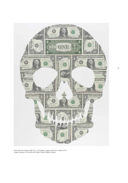

Fiona Hall *21st Century Man* 2011, US dollars, unique work from a series of 25. Image courtesy of the artist and Roslyn Oxley9 Gallery, Sydney.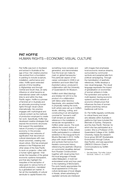# PAT HOFFIE HUMAN RIGHTS—ECONOMIC VISUAL CULTURE

and arrived in Australia at the age of four. Her creative practice has evolved from a foundation in painting to include sculpture, installation, performance and video. Hoffie spent extended periods of time travelling in Afghanistan and through Central and South Asia, an early influence on what became an international career with multiple links to and within the Asia Pacific region. Hoffie is a pioneer of feminist art in Australia and an advocate promoting human rights through visual culture internationally. Her practice engages with mythological and cultural content via the methods of production employed to create her work. Specifically, Hoffie has developed creative strategies that expose the economic structures that support the exploitative nature of poverty in a globalised economy; in the process establishing new networks of signification that deconstruct cultural stereotypes with new visual outcomes, creating new visual culture. She has employed artisans in the Philippines and other areas of the Asia Pacific to work on projects—often with a human rights agenda—that render the inequities of the global economic systems transparent, and that also highlight the inequities of the ascription of value given to various forms of cultural production, mandated by a globalised art market. In her art the inevitability of cultural servitude to capital flowers into

Pat Hoffie was born in Scotland

something more complex and generative, and demonstrates how the local can make its mark on global frameworks.<sup>1</sup> This particular aspect of her career culminated in 2006 in an exhibition and book titled *Fully Exploited Labour,* produced in collaboration with the University of Queensland's Art Museum.

Hoffie's work titled *Ideology and Artefact #2* (2012) is the product of a collaboration with fellow artist Veronica Sepulveda, who assisted Hoffie in physically making the work; both artists were set up in Hoffie's studio, stitching, cutting, and constructing in an atmosphere convivial for "women's craft". Craft remains an aesthetic reference in the installation, a vernacular recognisable in Hoffie's wider oeuvre. The work reflects the current status of women in Kerala in India, where Hoffie participated in a collateral exhibition to the inaugural Kochi Muziris Biennale in 2012. Hoffie plays with visual metaphors and symbols that borrow from Kerala's communist history, referencing the aesthetic influence on communist visualities derived from Russian Constructivism together with visual syntax from the local language of Kerala called Malayalam, in bold red embroidered script and toys used in the marketing of McDonald's. The work heavily appropriates the visual appearance of the popculture landscape of local villages in Kerala, where advertising for capitalist ventures are interlaced

with images that emphasise local economic revenue streams, surrounded by communist symbols and paraphernalia from political campaigning. Through the hybridisation of aesthetic references, Hoffie develops a new visual language. The visual language expresses the impact of globalisation on economies of women artisans in India. The symbolism and syntax is multi-layered, tracing economic systems and the network of economic infrastructure that influences the lives of women artisans practicing various traditional craft forms.

Dr. Pat Hoffie regularly contributes to critical theory and visual arts debates within Australia in platforms that have included the *Biennale of Sydney*, *Perspecta* and the *Asia-Pacific Triennial*, for which she has participated as a curator. She is a Professor of Art, Queensland College of Art, Griffith University, heads the research focus group SECAP (Sustainable Environment through Culture, Asia Pacific), and was appointed UNESCO Orbicom Chair in Communications by Griffith University.

1. See Sally Butler, "Pat Hoffie: Cultural Servitude," *Artlink* 27, no. 2 (2007).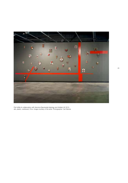

Pat Hoffie (in collaboration with Veronica Sepulveda) *Ideology and Artefact #2* 2012, silk, plastic, cardboard, Fimo. Image courtesy of the artist. Photographer: Carl Warner.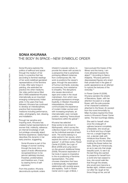# SONIA KHURANA THE BODY IN SPACE—NEW SYMBOLIC ORDER

Sonia Khurana explores the politics of selfhood and space through the medium of her body, in a practice that has (according to feminist readings of her work) redefined gendered representations of the feminine in India. After early forays in painting, she extended her practice into other mediums. Her video performance titled *Bird* (1999) established Khurana internationally as an important emerging contemporary Indian artist. In the years that have followed, Khurana has continued to develop an interdisciplinary practice that incorporates mediums including performance, video, photography, text, drawing, and installation.

Through her sensitive and inquiring work, Khurana has created myriad representations of women that, indirectly, reference an internal knowledge of self, but privilege universally abject feminine experience. Geeta Kapur describes this dynamic in her early practice, suggesting,

Sonia Khurana is part of the lineage of women working through the body into a space of erotic efflorescence recognised/shown to be (almost definitely) blocked, thwarted, problematised, and therefore won, if ever, by searing forms of selfexposure.<sup>1</sup>

From this position, Khurana deconstructs symbolic orders

inherent in popular culture, to provide the viewer with access to a perspective that is peripheral, portraying different instances from contemporary life. Her work re-positions the viewer's gaze, through the association of humour and facile, everyday occurrences, from resistance to empathy. The disruptions she causes deconstruct signs and codes in the visual mainstream, from which new archetypal expressions emerge. Explicitly, in Western theoretical interpretations, Khurana communicates the experience of modern Indian women and with increasing emphasis, an internationalist, even nomadic position, exploring "transcultural transactions within the global".2

Khurana has selected three works to be shown in *Mythopoetic,* which survey the collective impact of her practice, via the individual example of each work. The works belong to a wider period in her oeuvre, which explore the notion of "embodying spaces". In all three works, *Flower Carrier III* (2006), the *Logic of Birds* (2006) and *Lying-downon-the-ground: Additional Notes (*2009), Khurana's exploration of her body in space is imperative to the re-positioning of feminine representation. The artist chooses characters that have a stereotypically, marginalised relationship with societal space; she explains, "both in *Flower Carrier* and in *Logic of Birds*, I

have pursued the tropes of the *flâneur* and the tramp, I am more attracted towards the abject".3 According to Nancy Adajania, "Khurana performs dispossessed figures who enact their private lives in the glare of public appearance as an attempt to rupture the textures of the everyday."4

In *Flower Carrier III* (2006), Khurana wanders the streets of Barcelona, Spain, with her attention focused on a single flower, with the sole purpose of her character's existence attached to the flower. An excerpt from the novel *Immortality* by Milan Kundera inspired the three works in Khurana's *Flower Carrier*  series. The text touchingly relates,

She said to herself: when once the onslaught of ugliness became completely unbearable, she would go to a florist and buy a forgetme-not, a single forget-menot, a slender stalk with miniature blue flowers. She would go out into the streets holding the flower before her eyes, staring at it tenaciously, so as to see only that single beautiful point, to see it as the last thing she wanted to preserve for herself from a world she had ceased to love, she would walk like that through the streets, she would soon become a familiar sight, children would run after her, laugh at her, throw things at her, and all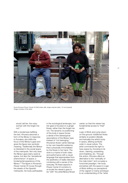

Sonia Khurana *Flower Carrier III* 2006 (video still), single-channel video, 10 min (looped)*.*  Image courtesy of the artist.

would call her: the crazy woman with the forget-menot.5

With a tenderness befitting the text, Khurana assumes a form of the *flâneur* in response to Kundera; she shifts the focus of the flâneur's gaze and gives the figure new symbolic meaning. Traditionally the flâneur is interested in the social space of the metropolis. Not only does the flâneur gaze starry-eyed at space, but also the 'sensational phenomenon' of space; a fundamental experience of the flâneur."6 The figure in Khurana's *Flower Carrier III* moves through the streets of the Spanish metropolis, her body participates in the sociological landscape, but her gaze is focused on a ginger flower, rather than the forget-menot. The dynamic re-positioning of the body in space forces a denial of the stereotypical associations of the *flâneur* type. Instead of "not belonging," Khurana's flower carrier belongs to her own beautiful existence, that is physically immortalised by the flower in her hand. The work is a hybrid of both video and performance with a visual language that appropriates from the aesthetics of reality television combining with a sense of the everyday. All these aspects in *Flower Carrier III* combine to re-locate the viewer's gaze to be "with" the artist/flâneur/flower

carrier, so that the viewer has fundamental access to "their" world.

*Logic of Birds* and *Lying-downon-the-ground: Additional Notes*  similarly re-position (literally and textually) the artist's body in space, altering symbolic order in visual culture. The artist commands the right to have space by choosing to lie down, claiming, possessing and inhabiting, etc. Through this action, Khurana offers an alternative to the "verticality of the male totem*"* and occupies a horizontal paradigm. Her body enmeshes with the space in *Logic of Birds* shifting our perceptions of the vagrant or tramp archetype to an understanding of the "artist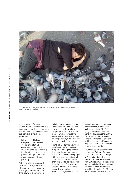

Sonia Khurana *Logic of Birds* 2006 (video still), single-channel video, 2 min (looped)*.*  Image courtesy of the artist.

as landscape". We view the figure with the "logic of birds" in a gendered space that is integrative and inclusive. Khurana describes this portrayal of her body explaining,

I strive to do this in an oblique manner; my way of subverting female corporeality would be to show the body as something that is extended in space and persists through time, both phenomenologically and politically.<sup>7</sup>

To lie down is to expose and make vulnerable, however for Khurana this is also an act of sovereignty and so perversely, "lying down" is a powerful, re-

claiming and reparitive gesture. The fact that Khurana has "lain down" all over the world, in her performance practice and in video works, provides the viewer with access to a nomadic archetypal figure, with borderless freedom in a globalised world.

The text-based *Lying-Down-onthe-Ground: Additional Notes* is a part of an ongoing project that has a live art component that Khurana has been engaged with for several years, in which public participants enter into shared space to "lie down" with the artist. *Lying Down on the Ground (Version IV),* the most recent live art performance in Khurana's *Lying Down* series was staged during the international theatre festival, Bharat Rang Mahotsav in Delhi, 2012. The *Lying Down* series have been performed in cities ranging from Barcelona, Nottingham and Paris to Hyderabad, Delhi, and Aichi, Japan, where Khurana has engaged hundreds of participants in performative ventures.

Khurana was educated in Delhi University's College of Art and in London at the Royal College of Art, and undertook artistic research at the Rijksakademie from 2002 to 2004. Khurana lives and works in Delhi, she has been included in many international exhibitions including *Re-Picturing the Feminine,* Gallery OED, a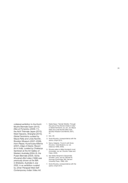collateral exhibition to the Kochi Muziris Biennale Open (2012), *Elles at Pompidou* (2009–11), the Aichi Triennale Japan (2010), West Heavens, Shanghai (2010), *Global Feminisms* curated by Maura Reilly and Linda Nochlin, Brooklyn Museum (2007–2008), *Horn Please,* KunsmuseumBerne (2007), *Edge of Desire: Recent Art in India,* curated by Chaitanya Sambrani at the Art Gallery of Western Australia (2004–5), the Pusan Biennale (2004). Sonia Khurana's *Bird* video (1999) was previously shown at the IMA in Brisbane, Australia in July 2002, in an exhibition curated by Johan Pijnappel titled *Self: Contemporary Indian Video Art.*

- 1. Geeta Kapur, "Gender Mobility: Through the Lens of Five Women Artists in India," in *Global Feminisms*, ex. cat., ed. Maura Reilly and Linda Nochlin (New York: Brooklyn Museum and Merrell, 2007), 91.
- 2. Ibid., 93.
- 3. Sonia Khurana, correspondence with the author, 6 April 2013.
- 4. Nancy Adajania, "Q and A with Sonia Khurana," *India Moderna*, ex. cat. (Valencia: IVAM, 2009).
- 5. Khurana refers to Milan Kundera's novel *Immortality*, rev. ed. (Toronto: Faber and Faber, 2000).
- 6. See Walter Benjamin's *Gessamelte Schriften*, trans. and ed. Michael W. Jennings (Cambridge, MA: Harvard University Press, 1996), 326.
- 7. Sonia Khurana, correspondence with the author, 6 April 2013.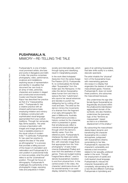# PUSHPAMALA N. MIMICRY—RE-TELLING THE TALE

Pushpamala N. is one of India's most prominent artists; she lives and works in Bangalore and Delhi in India. Her practice comprises photography, video, performance, sculpture and installations. exploring issues of representation and identity in visualities that document her own body in an array of roles, personas, characters and avatars in staged and constructed environments. Curator and theorist Geeta Kapur has described her practice as that of a "masquerading artist."1 Pushpamala N. has a creative practice with an inherent performance base, employing imitation and mimicry in tableaux constructed with sophisticated visual language appropriated from pop-culture traditions. Through her vernacular, Ajay Sinha explains, "the artist conveys a fascination with images and image genres that have a readable presence in the visual culture of modern India."2 In particular, Pushpamala N. has used her practice to explore the idea of "the artist as ethnographer," in a process that provides a telling account of the impact of colonialism and nationalism and Pushpamala N.'s own position in postcolonial India or more accurately, what the artist refers to as the "postnational" position. Through her focus on ethnography, Pushpamala N. challenges the authenticity of the photographic image, exposing roles and prejudices in Indian

society and internationally, which through typing and classifying, result in marginalising people.

In the work titled *Indrajaala/ Seduction* from the series Avega: The Passion (2012), Pushpamala N. re-contextualises the female villain "Surpanakha" from the Indian epic the *Ramayana*. In the video the demon Surpanakha takes human form and tries to seduce the hero "Lakshmana", who spurns her sexual advances and decides to punish her, disfiguring her by cutting off her nose and ears. The artist as the demon mimics the movements of a shaman from the fragment of an early ethnographic film seen in Melbourne, Australia. This performance provides a historic context for the character, which is presented in quises that simultaneously reflect a colonial and postcolonial gaze through which the demon's identity varies. From this reference point, Pushpamala N. interlaces the black and white aesthetics of early ethnographic film, with cinematic image flows that appropriate from the "trick photography" of early Indian cinema (Dadasaheb Phalke) and even from the aesthetics of video games. There are budget-looking "magical flame effects", used to denote Surpanakha's transition to and from physical form. In the central screen in the video, the character Lakshmana shows off his swordsmanship in an overt display, beheld by the suggested

gaze of an admiring Surpanakha, that later shifts subtly to a violent, staccato spectacle.

The artist inhabits the "physical" form of the Surpanakha trope, with mesmerising gestures she sways in a display that engenders the desires of various masculinised gazes. However, Pushpamala N. does not revisit these positions, she subsumes the masculinised because,

She undermines the sign (the female figure Surpanakha) as linguistically structured within the phallocentric/identitarian/ aggrandised domain of the symbolic; she also therefore, undermines the (perverse) logic of the "feminine as masquerade", based as that is on a fetishistic displacement of the phallus.<sup>3</sup>

By subsuming the masculinised desire/object dynamic and transitioning the character Surpanakha into a violent atmosphere, juxtaposed with Surpanakha's dreamy surrendering to her fate, Pushpamala N. exposes the character's vulnerability and restores a lost innocence related to her sexuality, prefaced earlier in the work. Through her employment of subtle and multi-layered visual language, Pushpamala N. imbues the character Surpanakha with complexity, reincarnating her into a new life and different mythology. Pushpamala is hybridising and

30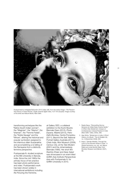

Pushpamala N. *Indrajaala/Seduction* 2012 (video still), from the series *Avega—The Passion: The Drama of Three Women*, single-channel digital video, 4:27 min (looped). Image courtesy of the artist and Nature Morte, New Delhi.

transforming archetypes like the "Native South Indian woman", the "Magician", the "Warrior", the "shaman", the "Femme Fatale", the "Noble Savage" and the "Whore", altering the historical and popular symbolism assigned to the infamous villain Surpanakha and accomplishing a re-telling of the Ramayana from a distinctly feminine perspective.

Pushpamala N. studied sculpture at the MS University in Baroda, India. Since the mid 1990s the primary focus of her practice has been photo performance and video. Pushpamala's work has been shown widely in international exhibitions including *Re-Picturing the Feminine,*

at Gallery OED, a collateral exhibition to the Kochi Muziris Biennale Open (2012), *Photo Espana,* Madrid (2012), *Paris-Delhi-Bombay,* Centre Pompidou (2011), *Beyond the Self,* National Portrait Gallery-Australia (2011), *Chalo India,* Mori Museum (2008), *Century City,* at the Tate Modern (2001) and the Johannesberg Biennale (1995). Her short film *Rashtriy Kheer and Desiy Salad* was showcased in an event titled *Griffith Asia Institute-Perspectives Asia with Pushpamala N.* for Griffith University in 2010.

- 1. Geeta Kapur, "Dismantling Norms: Apropos an Indian/Asian Avante Garde," in *When Was Modernism: Essays on Contemporary Cultural Practice in India* (New Delhi: Tulika, 2000), 399.
- 2. Ajay Sinha, "Modernism in India: A Short History of a Blush," *The Art Bulletin* 90, no. 4 (December 2008), 565.
- 3. Kapur, "Gender Mobility: Through the Lens of Five Women Artists in India," in *Global Feminisms*, ex. cat., ed. Maura Reilly and Linda Nochlin (New York: Brooklyn Museum and Merrell, 2007), 86.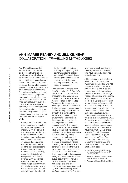# ANN-MAREE REANEY And JILL KINNEAR COLLABORATION—TRAVELLING MYTHOLOGIES

Ann-Maree Reaney and Jill Kinnear have collaborated on a series of works about travelling mythologies inspired by the tradition of the roadtrip as presented in cinema and popular culture. The artwork combines literary and visual references and intersects with the women's own documentation of their travels. The collaboration has produced a unique visual language that appropriates from the locations the artists have travelled to, and finds central focus through the construction of an exquisite garment, which is photographed on a model and placed in virtual environments generated by the artists. The artists have provided this statement explaining the work,

Cinema and the road trip are inextricably bound together by movement, speed and mobility. Both the car and the camera are mobile, can be pointed in almost any direction, operate at speed; video frames one tenth of a second documented our journey. Both cinema and the road trip represent fictional spaces, a space of encapsulated possibility, paradoxically infinite yet compressed and defined by time. Both are frames upon the world, and the video image, taken through the windscreen of a moving car, is twice separated from reality, through the filters of

the lens and the window. The very act of pointing the camera in order to capture "authenticity" is contradictory; the image becomes a fiction, a souvenir, a distortion of memory removed from the reality of the scene.<sup>1</sup>

The work in *Mythopoetic* titled *Road Trip India*—*An Act of Faith*  (2013), invites the viewer to an encounter with a visual space created from the experiences and memories of an Indian roadtrip. The central figure in the work, wearing a dress emblazoned with the trucks the artists encountered on their journey, 'stands before a theatre-like curtain of the same design, presenting the environment—and therefore the notion of the journey—as an imaginative and fictional representation".2 The imagery is constructed from the artists' travel video and photographs; mediated forms of documentation that focus not only on the decoration of the truck, but also the symbolic disregard for the rules of the road, by those operating the vehicles. The artists continue to describe the trucks explaining, "with cabins adorned as temple shrines with flowers, they are an icon that transgresses all highway lines and rules with but an act of faith"*.* <sup>3</sup> The work depicts the artists" fascination with the parallel and crosscultural references encompassed by "faith" and travelling. *Road Trip India*—*An Act of Faith* is part

of an ongoing collaboration and series by Reaney and Kinnear, who have both individually had extensive careers.

Jill Kinnear is a prominent textile artist; born in Scotland, she immigrated to Australia. She has completed major commissions and her work is held in several international public collections. Kinnear is a fellow of the Design Institute of Australia; she currently holds the position of Professor of Fibers at Savannah College of Art and Design in Georgia, USA. Ann-Maree Reaney exhibits her work nationally and internationally, she has been conferred with numerous visual arts awards internationally, nationally and at the state level including the DAAD German government scholarship to undertake research in Berlin and several artist-in-residencies in Paris and China through the Visual Arts Crafts Board of the Australia Council. She was a Senior Lecturer in Sculpture and Head of the Visual Arts Department at the University of Southern Queensland; she currently works as both a visual artist and curator.

- 1. Ann-Maree Reaney and Jill Kinnear, correspondence with the author, 27 December 2012.
- 2. Reaney and Kinnear, correspondence with the author, 10 April 2013.
- 3. Reaney and Kinnear, ibid, 3 April 2013.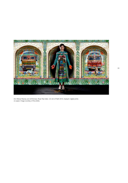

Ann-Maree Reaney and Jill Kinnear, *Road Trip India—An Act of Faith* 2013, tripdych: digital prints on paper. Image courtesy of the artists.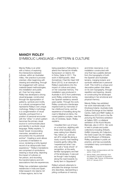# MANDY RIDLEY SYMBOLIC LANGUAGE - PATTERN & CULTURE

Mandy Ridley is an artist with a history of exploring the intersections between cultures, within an Australian milieu. Her practice is process oriented, often beginning with drawing and extending, through her engagement with various material-based methodologies, into installation and public art. Over her long career, Ridley has developed a strong visual language; constructed through her appropriation of patterns, symbols and motifs, in a cultural convergence that represents Ridley's own unique mythology. Ridley's mythology is a conglomeration of visual hybridity, portrayed from a position of personal encounter with the "other," in which pattern becomes the primary visual source to communicate place and identity in symbolic visual language. Ridley explains, "I travel/ travail: incorporating memories, sensations and encounters into my personal archive". Creating a work allows a process of translation to occur, rendering a richly layered record of an idiosyncratic lived experience."1 Ridley's translations are comprised of symbolisms weaving a visual array, depicting the impact of cultures on her person, and recording the transformations and rich associations that she experiences.

Ridley has undertaken extended residencies in India and Spain. Initial research into Islamic Art in these regions, led to her

being awarded a Fellowship to attend the Hamad bin Khalifa Symposium on Islamic Art in Doha, Qatar in 2011. The work in *Mythopoetic*, titled *Sometimes I Feel My Heart Will Burst* (2012), is an example of Ridley's explorations into the impact of culture and place on her corporeal memory. The installation was produced in Australia in 2012 from preliminary work Ridley undertook during her Spanish residency several years earlier. Through the work, Ridley constructs a landscape inspired both by memories of her childhood home, and her experience of travelling along the road to Madinat al-Zahra, the ruined palatine complex, near the city of Córdoba, Spain. Ridley explains,

I travelled 5km out of town on a local bus, alighting with three other travelers who were visiting from Madrid. "Yes, follow us", and we set off in single file along a dusty country road heading towards gently rolling hills. I experienced what I can only call a "body shock" of recognition, at the eerily familiar topography and feel of the landscape, it was just as though I was trudging along the road towards my family farm in Gippsland!<sup>2</sup>

Ridley's artwork attempts to articulate the strange moment she describes, representing a jolting confluence of memory

and limbic resonance, in an installation constructed with vinyl that has a palette derived from the topography of both the Spanish and Australian terrains, merging botanic and symbolic references in personal motif. This motif is a unique and decorative pattern that takes on its own topography, through repetition and layering, cleverly re-constructing the landscape resonating in her emotional and physical memory.

Mandy Ridley has exhibited her work internationally in the *Kindness/Udarta: Australia-India Cultural Exchange* at the Habitat Centre, Delhi and RMIT Gallery in Melbourne (2012) and in the *Repicturing the Feminine* exhibition at Gallery OED, a collateral exhibition of the Kochi Muziris Biennale, also in 2012. Her work is held in private and public collections including Artbank, Griffith University Art Collection, the Gold Coast City Art Gallery, and the Museum of Brisbane. Ridley specialises in public art practice, and has successfully completed many commissions nationally.

- 1. Mandy Ridley, correspondence with the author, 3 April 2013.
- 2. Mandy Ridley, artist statement, from the exhibition *Cognition* at Gippsland Art Gallery, Sale, Victoria, 30 November 2012–27 January 2013.

34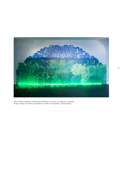

Mandy Ridley *Sometimes I Feel My Heart Will Burst* 2012, hand-cut digital print, LED lights. Image courtesy of the artist and Gippsland Art Gallery. Photographer: Lindsay Roberts.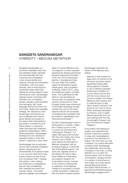# SANGEETA SANDRASEGAR HYBRIDITY—MEDUSA METAPHOR

Sangeeta Sandrasegar is a prominent Australian artist who has exhibited widely nationally and internationally. She has a practice that investigates cross-cultural identity and meaning, through the intersection of literature, myth and visual histories, with a whimsical and sometimes sharp-satire that reflects the strong research base informing her work. Sandrasegar explores issues connected with hybridity, race, immigration, gender, sexuality, postcolonialism and belonging, with visual language that borrows from her own Indian, Malay and Australian heritage. Her depictions of the female figure (sometimes her own) challenge fixed notions about identity and present to the viewer, fluid interpretations, grounded in constant flux and hybrid states, in a personal milieu that plays with objective/ subjective interpretation. Within these parameters, Sandrasegar develops her own narrative in separate bodies of work that evolve in response to each other.

Sandrasdegar has an extensive oeuvre that is primarily installation based, exploring the twodimensionality of sculptural media in cut-outs and other forms that, "employ shadow as key formal and conceptual motif," merging with pattern, mark-making and watercolour investigations, that are often embellished with materials borrowed from popular-culture.1 Her poetic gestures highlight and juxtapose

areas of cultural difference and convergence, a recent example exploring the shared postcolonial histories shaping the formation of her own and contemporary identity in Australia and India. The work titled *The scaffold called the Motherland spews infinite grace,* was completed in Mysore, India in 2012, using the traditional medium of Indian brass. The scaffolding the title refers to, are actualised as bronze casts of eucalyptus trees used for construction in India. Eucalypt forests were introduced to the Indian landscape through colonial rule, and so the brass "objects embody the processes of transferral and translation that are implicit to globalisation and intercultural exchange".2

The title of Sandrasegar's work in *Mythopoetic* is a reverie—taken from a literary source, a line in a poem by Ovid about the mythological "Perseus". It is called *Take away that monster/ That face that makes men stone, whoever she is* (2009). The work depicts the silhouette of Medusa, beheaded, with an emerging Pegasus, in black felt with embroidered sequins. The work was originally shown in Old Wentworth Gaol in New South Wales as a disturbing, yet poignant metaphor for incarcerated women, however in the context of *Mythopoetic* an extension of the Medusa metaphor is surveyed to include a wider symbolism in alignment with the artist's broader practice.

Sandrasegar describes her version of the Medusa story, stating,

Medusa is cast outside the legal canon of women by the dominant yet barren warrior figurehead Athena (after being raped by Poseidon in one of Athena's temples). Sentenced to isolation on a stony island outcrop and with her once lustrous hair turned to snakes, the Gorgon Medusa's will to beauty and to make life (thus to also take it away) is imbued in her power to turn men to stone. When eventually beheaded by Perseus, even in death Medusa gives life: from her neck springs forth the fully formed giant Chrysaor, and from her blood the winged Pegasus.3

In the artist's view Medusa is creatrix, and represents the triumph of feminine creativity to cope with marginalisation, a symbol of the parturition of beauty. The work does not cast a shadow; it is a black silhouette, a shadow itself. Sandrasegar has traditionally used the idea of shadow in her work, to bring attention to or re-claim the 'shadow figure" from its historic connotations, bringing forward to a position of prominence a new image, as a visual device representing postcolonial and hybrid critical theories. In approaching the Medusa figure, Sandrasegar engages with a

36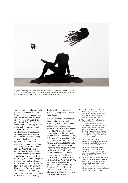

Sangeeta Sandrasegar *Take Away That Monster/That Face That Makes Men Stone, Whoever She Is* 2009, installation with felt, glass beads, sequins, and thread. Image courtesy of the artist and Murray White Room, Melbourne. Photographer: Ari Hatzis.

long history of feminist, semiotic and patriarchal interpretation. Author Hélène Cixous suggests "Medusa has become a central figure for the woman artist to struggle with", for Sandrasegar it is not so much a struggle, she re-claims the shadow aspect of the Gorgon, instead of the ugly, frightening or grotesque, Sandrasegar offers the viewer an alternative—the beheading of the matriarch is used to represent the power of Medusa's creativity.4 The Medusa is a figure of hybridity herself, traditionally depicted "as monstrous and through the hybrid composite of human and animal parts, Medusa is made into a liminal creature".<sup>5</sup> Sandrasegar re-claims the hybrid creature from the liminal space, and uses her to demonstrate the power of feminine creativity, in this guise the Gorgon is thrust into a position in which many women can claim her as symbolic to themselves, she is no longer

dwelling in the fringes, she is a figure of hybridity to be celebrated and admired.

In 2004 Sangeeta Sandrasegar completed a Doctorate of Philosophy across the Victorian College of the Arts and the Australian Centre at the University of Melbourne. Sandrasegar's international exhibitions include, *Re-picturing the Feminine*, Gallery OED, a collateral exhibition of the Kochi Muziris Biennale (2012), the Incheon Women Artists Biennale in Korea (2009), *Slash: Paper Under the Knife,* Museum of Arts and Design New York (2009), *the Fifth Asia Pacific Triennial of Contemporary Art (APT 5)* at QAGOMA (2006–7), *Public/ Private: Auckland Triennial* (2004). Sandrasegar was awarded the 2012 Rimbun Dahan Arts Residency, Penang, Malaysia, from which she has recently returned to Melbourne, Australia where she lives and works.

- 1. Dan Rule" "A Reflection of Home", *Broadsheet*, 2 July 2012: http://www. broadsheet.com.au/melbourne/artsand-entertainment/article/reflectionhome, accessed 3 March 2013.
- 2. The work titled *The scaffold called the Motherland spews infinite grace*  was recently acquired as part of the permanent collection of the Art Gallery of New South Wales. See Recent Acquisitions, Art Gallery of New South Wales Collection, Viktoria Marinov Bequest Fund 2012: http:// www.artgallery.nsw.gov.au/collection/ works/281.2012.a-h/
- 3. Sangeeta Sandrasegar's artist statement: http://sangeetasandrasegar. blogspot.com.au/2009/06/take-awaythat-monster-that-face-that.html
- 4. See authors Garber and Vickers discussion of Hélène Cixous article "The Laughter of the Medusa" (1975), in their extensive *The Medusa Reader*, Routledge, 2003, 133.
- 5. See discussion of the Medusa's body as a hybrid figure in the article by Melissa Skinner-La Porte 'snakes on a Mane: Medusa, the Body and Serpentine Monstrosity", *inter-disciplinary.net*: http://www.inter-disciplinary.net/wpcontent/uploads/2010/08/mlaportepaper. pdf, accessed 13 March 2013.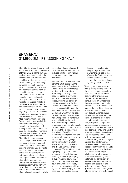# SHAMBHAVI SYMBOLISM—RE-ASSIGNING "KALI"

Shambhavi's original home is rural Patna, in the northern Indian state of Bihar. Bihar is a land that has ancient roots, connected to the development of Buddhism and sanctified in Hinduism because the River Ganga or "the Ganges" traverses its length. Modern Bihar, in contrast, is one of the poorest Indian states; many of its residents have been forced to re-locate to find work and are subjected to violence in other parts of India. Shambhavi herself now resides in Delhi, a displacement that has been a recurrent theme in her work. Her practice explores many issues regarding domestic displacement in India as a metaphor for larger universal human conditions. Most recently Shambhavi has focused on the sorrowful plight of farmers from Bihar, who, relegated to the periphery of society in a globalised India, have been suiciding in large numbers (a similar predicament to those working the land in Australia). Shambhavi's work is centered around a symbol or object that serves as a visual/conceptual reference-point and metaphor, bringing unanticipated elements into proximity, from a milieu combining the socio-political India, cosmology, mythology and popular culture. Shambhavi attempts to reconcile her feelings and experiences about these issues in works, rich with symbolism, to portray universal human conditions, which are often reflected through the artist's

exploration of cosmology and her visual devices. Her practice includes painting, printmaking, papermaking, sculpture and installation.

*Red Kali* (1997) is an earlier work from the artist, portraying the steel tongue of the Goddess of Death. There are many stories in Hindu mythology about Kali's tongue, relating how the goddess's rage is motivated into action against malevolent forces, evoking her dance of destruction and thirst for the blood of demons, which could only be dissuaded through the intervention of her husband, the God Shiva, who threw his body beneath her feet. This surprised Kali, who poked out her tongue in shock! In Hindu Art, Kali is traditionally depicted with protruding tongue as reference to her humble position and the many stories in the Hindu pantheon that relate it. *Red Kali* plays on the myriad associations with the goddess's tongue, while cleverly referencing the triangle symbol as the Yantric form of Shakti (divine femininity in Hinduism), and the vaginal/vulvic shape common to Western feminist art, signifying the gendered space in the work. The artist adopts the tongue symbol, portraying a divine feminine power that will vociferously rage, a female figure that will be instinctually impelled to take action, with force, against violence. Sanjog Sharan describes this position stating:

the crimson black, rapier tongued mythical Red Kali is Shambhavi's idea of the Woman, the Goddess whose powers of creation can nurture the need for violence against grave provocation.<sup>1</sup>

The tongue/triangle emerges from a red field in the corner of the gallery space, in a gesture that forebodes this violence, depicting the liminal space between malevolence and benevolence, an atmosphere that permeates modern Indian society. The red in the work can represent many things, the rage of the Goddess or the blood spilt through violence. Indian society, like many places in the world, reveres the most benign institutions and, at the same time, is capable of deplorable horrors enacted in the name of those institutions (like the Gujarat riots between Hindu and Muslim extremists in 2002). Shambhavi's *Red Kali* recontextualises the myth by appropriating the symbol of the goddess's tongue, representing contemporary society while reconciling binary oppositions through the idea of a universal, divine, feminine figure with ultimate knowledge. The artist uses a symbol belonging to a classical Hindu figure to epitomise the complexity of modern India, from a universal position that speaks to the wider experiences of violence in global culture. *Red Kali* is given a fundamentally different context

38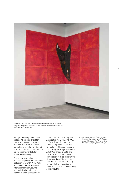

Shambhavi *Red Kali* 1997, watercolour on handmade paper, 12 sheets. Image courtesy of the artist and Talwar Galleries, New York and New Delhi. Photographer: Carl Warner.

through the assignment of the foreboding tongue, a tool for peace and a weapon against violence. The Hindu Goddess Maha Kali is visually transfigured in Shambhavi's work, a metaphor for the wider potentials for violence in humanity.

Shambhavi's work has been acquired as part of the permanent collection of MOMA, New York and she has exhibited widely internationally in museums and galleries including the National Gallery of Modern Art

in New Delhi and Bombay, the Association for Visual Arts (AVA) in Cape Town, South Africa and the Tropen Museum, The Netherlands. She participated in the prestigious Khoj International Artist Workshops in 2002 and 2009. In 2011, Shambhavi's participation in a residency at the Singapore Tyler Print Institute, saw her produce a major body of work that was exhibited in a show and publication titled *Lonely Furrow* (2011).

1. See Sanjog Sharan, "Containing the Cosmos," *Shambhavi: Lonely Furrow*, ex. cat., Singapore Tyler Print Institute, Robertson Quay, Singapore, 2011, 6.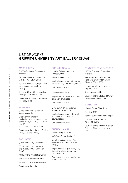# LIST OF WORKS Griffith University Art Gallery (GUAG)

### Marnie Dean

(1975–) Brisbane, Queensland, Australia

*Morrigan-Kali the 'SHE-WOLF': Wave of the Future* 2012

lightbox illumination, digital print on transparency, customised display

lightbox: 76 x 160cm; wooden display: 183 x 185 x 22cm

Collection: Mr Binoj Cheruvathur Kochurry, India

### **FIONA HALL**

(1953–) Sydney, New South Wales, Australia

*21st Century Man* 2011 US Dollars, unique works from a series of 25, #11, 12, 14, 15, 16 and 18 six sheets, each 47 x 34cm

Courtesy of the artist and Roslyn Oxley9 Gallery, Sydney

### PAT HOFFIE

(1953–) Edinburgh, Scotland, UK

(Collaboration with Veronica Sepulveda, 1980–, Santiago, Chile)

*Ideology and Artefact #2* 2012

silk, plastic, cardboard, Fimo

installation dimensions variable

Courtesy of the artist

### Sonia KHURANA

(1968–) Saharanpur, Uttar Pradesh, India

*Flower Carrier III* 2006

single channel video, 4:3, colour, stereo sound, 10 minutes, looped

Courtesy of the artist

*Logic of Birds* 2006

single-channel video, 4:3, colour, silent version, looped

Courtesy of the artist

*Lying-down-on-the-ground: Additional Notes* 2009

single channel video, 4:3, black and white and colour, mono sound, looped

Courtesy of the artist

### Pushpamala N.

(1956–) Bangalore, India

*Indrajaala/Seduction* 2012

from the series *Avega—The Passion: The Drama of Three Women*

single-channel digital video, 4:3, black and white, silent, 4:27 minutes looped

Courtesy of the artist and Nature Morte, New Delhi

### Sangeeta Sandrasegar

(1977–) Brisbane, Queensland, Australia

*Take Away That Monster/That Face That Makes Men Stone, Whoever She Is* 2009

installation: felt, glass beads, sequins, thread

dimensions variable

Courtesy of the artist and Murray White Room, Melbourne

# **SHAMBHAVI**

(1966–) Patna, Bihar, India

*Red Kali* 1997

watercolour on handmade paper

12 sheets: 366 x 488cm (12 x 16ft) overall

Courtesy of the artist and Talwar Galleries, New York and New Delhi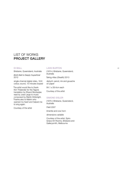# LIST OF WORKS Project Galler y

### DI BALL

Brisbane, Queensland, Australia

*BinDi Ball Is Deeply Superficial* 2012

single-channel digital video, 16:9 colour, sound, 15 minutes looped

The artist would like to thank Kim Thelander for the Tagore translation by Shaoni Muckerjee read by Jose Large to music composed by Martin Kirkbright. Thanks also to Mahin who opened my heart and helped me to sing again.

Courtesy of the artist

# Laini BURTON

(1974–) Brisbane, Queensland, **Australia** *Taking Atlas (Stealth)* 2013

diptych: pencil, ink and gouache on paper

84.1 x 59.4cm each

Courtesy of the artist

### Simone EISLER

(1975–) Brisbane, Queensland, Australia

*Field* 2007

ilmenite and cow horn

dimensions variable

Courtesy of the artist, Spiro Grace Art Rooms, Brisbane and Gallerysmith, Melbourne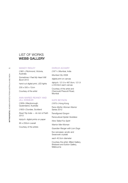# LIST OF WORKS **WEBB GALLERY**

# Mandy RIDLEY

(1961–) Richmond, Victoria, Australia

*Sometimes I Feel My Heart Will Burst* 2012

hand cut digital print, LED lights

230 x 550 x 12cm

Courtesy of the artist

## Ann-Maree REANEY and **JILL KINNEAR**

(1959–) Maryborough, Queensland, Australia

(1953–) Dundee, Scotland

*Road Trip India — An Act of Faith* 2013

triptych: digital prints on paper

85 x 250cm overall

Courtesy of the artists

# DHRUVI ACHARY

(1971–) Mumbai, India

*Mumbai City* 2008

digital print on canvas

diptych: 121.9 x 487.6cm; 121.9 x 243.8cm each canvas

Courtesy of the artist and Chemould Prescott Road, Mumbai

# **KATE BEYNON**

(1970–) Hong Kong

*Trans-Mythic Woman Warrior*  Series 2012

*Transfigured Gorgon*

*Transcultural Spider Goddess* 

*Nine-Tailed Fox Spirit* 

*Warrior Mer-Woman*

*Guardian Ranger with Lion Dogs*

five canvases: acrylic and Swarovski crystals

each 40.5cm diameter

Courtesy the artist, Milani Gallery, Brisbane and Sutton Gallery, Melbourne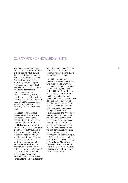# CURATOR'S A

*Mythopoetic* surveys art and  $\frac{1}{4}$  with the generous and inspiring  $\frac{1}{4}$ creative practice as an example of a developing visual culture that is re-defining the image of women in the South Asian and Asia Pacific regions. Thanks to the longstanding support of Queensland College of Art (Galleries) and Griffith University Art Gallery, this exhibition provides a platform that showcases the very best intent of Indian and Australian cultural practice. It is with this celebratory accord that Mythopoetic shares a wider participation in Griffith University's festival *Encounters: India*.

The exhibition *Mythopoetic: Women Artists from Australia and India* has been made possible due to the initiation of Cassandra Schultz, Professor Pat Hoffie, Naomi Evans and Simon P. Wright, with the support of Professor Paul Cleveland. In India, I would like to thank the Australian High Commission and the Department of Foreign Affairs who supported the exhibition I curated as part of their Ozfest initiative and the Kochi Muziris Biennale, from which this exhibition *Mythopoetic*  has emerged. I would also like to acknowledge and thank the indomitable curator Johan Pijnappel for all his help, together

Nalini Malani for her guidance, continuing encouragement and example of professionalism.

I would like to thank several artists included in this exhibition, who were physically with me in India they are (alphabetically) Di Ball, Kate Beynon, Fiona Hall, Pat Hoffie. Sonia Khurana, Pushpamala N., Shambhavi and Mandy Ridley, for their commitment to this cross-cultural dialogue and equally I would also like to thank artists Dhruvi Acharya, Laini Burton, Simone Eisler, Sangeeta Sandrasegar (who participated in both exhibitions also) and Ann-Maree Reaney and Jill Kinnear for all their wonderful contributions to *Mythopoetic*. My awesome colleagues in this exhibition, Naomi Evans and Cassandra Schultz, have cleverly devised the first joint exhibition housed across Galleries on Griffith Universities' Southbank campus, in Griffith University Art Gallery (GUAG) and Queensland College of Art Galleries (QCA Galleries) Webb and Project spaces and I thank them for their invaluable contributions that have helped shape this exhibition.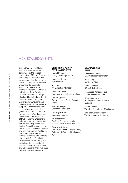# acknowledgments

Griffith University Art Gallery and QCA Galleries wish to acknowledge the special contribution of Marnie Dean, artist and emerging curator of this project, and all of the exhibiting artists and their representatives who made it possible for artworks to be loaned and to feature in Brisbane. Our thanks to Professor Paul Cleveland, Director, Queensland College of Art and Earle Bridger, Deputy Director (Development) and Senior Lecturer, Queensland College of Art, for their valuable support of this exhibition from its inception, and for their generous contribution toward this publication. We thank the Queensland Conservatorium of Music, and the Encounters: India team for the opportunity to partner with the precinct wide festival. Naomi Evans wishes to thank the staff of Griffith Artworks and Griffith University Art Gallery, our skilled art preparators, interns, volunteers and curatorial students of Craig Douglas for their assistance in realising the exhibition. Cassandra Schultz wishes to thank all staff, interns and volunteers for their invaluable help in mounting *Mythopoetic*.

# **GRIFFITH UNIVERSITY** Art Gallery Staff

Naomi Evans Acting Director | Curator

Karen La Rocca Administrator

Jo Duke Art Collection Manager

Camille Serisier Curatorial and Collections Officer

Robert Corless Exhibitions and Public Programs **Officer** 

Kathryn Sawyer Collections Assistant

Lisa Bryan-Brown Curatorial volunteer

Art preparators Dr Chris Bennie, Audrey Lam, Michael Littler, Kathryn Sawyer

Gallery Invigilators Lisa Bryan-Brown, Simone Eisler, Gabrielle McTaggert, Nicola Scott, Kylie Spear.

### **QCA GALLERIES STAFF**

Cassandra Schultz QCA Galleries Coordinator

Emily Gray Curatorial Intern

Jodie Cunneen QCA Galleries Intern

Francesca Vanderwoude QCA Galleries Volunteer

Brian Sanstrom Art preparator and Technical Support

Kieron Wilson Volunteer Technician, QCA Gallery

and, the wonderful team of Volunteer Gallery Attendants

 $\overline{A}A$